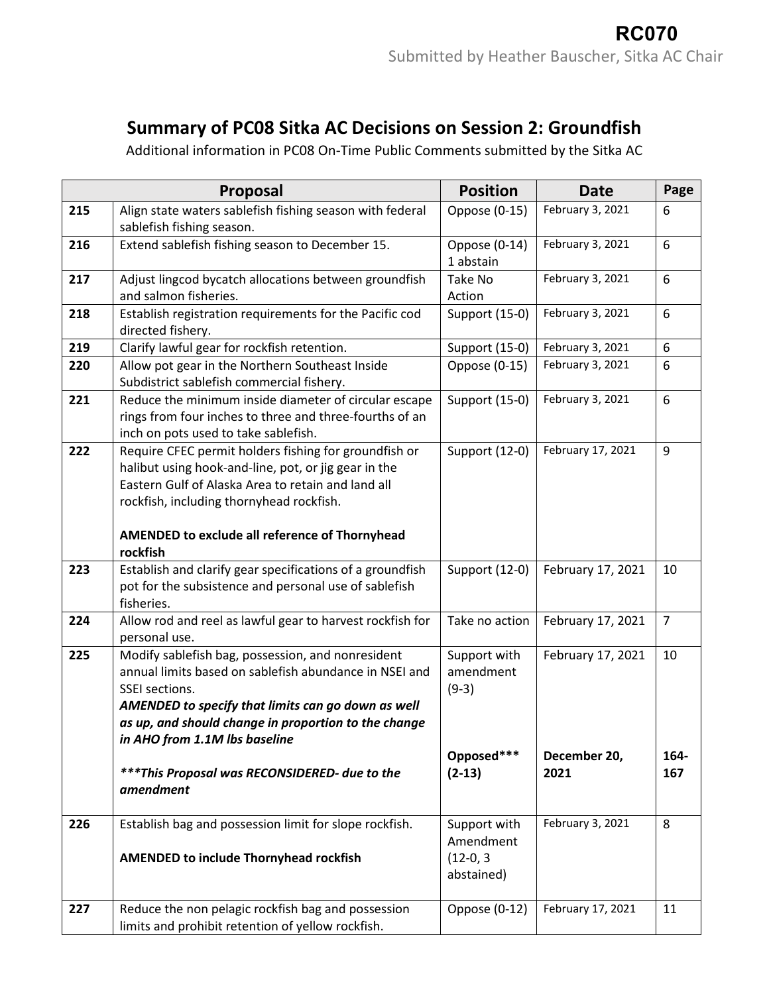## **Summary of PC08 Sitka AC Decisions on Session 2: Groundfish**

Additional information in PC08 On-Time Public Comments submitted by the Sitka AC

|     | <b>Proposal</b>                                                                                                                                                                                                                                                                                                                            | <b>Position</b>                                                | <b>Date</b>                               | Page              |
|-----|--------------------------------------------------------------------------------------------------------------------------------------------------------------------------------------------------------------------------------------------------------------------------------------------------------------------------------------------|----------------------------------------------------------------|-------------------------------------------|-------------------|
| 215 | Align state waters sablefish fishing season with federal<br>sablefish fishing season.                                                                                                                                                                                                                                                      | Oppose (0-15)                                                  | February 3, 2021                          | 6                 |
| 216 | Extend sablefish fishing season to December 15.                                                                                                                                                                                                                                                                                            | Oppose (0-14)<br>1 abstain                                     | February 3, 2021                          | 6                 |
| 217 | Adjust lingcod bycatch allocations between groundfish<br>and salmon fisheries.                                                                                                                                                                                                                                                             | Take No<br>Action                                              | February 3, 2021                          | 6                 |
| 218 | Establish registration requirements for the Pacific cod<br>directed fishery.                                                                                                                                                                                                                                                               | Support (15-0)                                                 | February 3, 2021                          | 6                 |
| 219 | Clarify lawful gear for rockfish retention.                                                                                                                                                                                                                                                                                                | Support (15-0)                                                 | February 3, 2021                          | 6                 |
| 220 | Allow pot gear in the Northern Southeast Inside<br>Subdistrict sablefish commercial fishery.                                                                                                                                                                                                                                               | Oppose (0-15)                                                  | February 3, 2021                          | 6                 |
| 221 | Reduce the minimum inside diameter of circular escape<br>rings from four inches to three and three-fourths of an<br>inch on pots used to take sablefish.                                                                                                                                                                                   | Support (15-0)                                                 | February 3, 2021                          | 6                 |
| 222 | Require CFEC permit holders fishing for groundfish or<br>halibut using hook-and-line, pot, or jig gear in the<br>Eastern Gulf of Alaska Area to retain and land all<br>rockfish, including thornyhead rockfish.<br>AMENDED to exclude all reference of Thornyhead<br>rockfish                                                              | Support (12-0)                                                 | February 17, 2021                         | 9                 |
| 223 | Establish and clarify gear specifications of a groundfish<br>pot for the subsistence and personal use of sablefish<br>fisheries.                                                                                                                                                                                                           | Support (12-0)                                                 | February 17, 2021                         | 10                |
| 224 | Allow rod and reel as lawful gear to harvest rockfish for<br>personal use.                                                                                                                                                                                                                                                                 | Take no action                                                 | February 17, 2021                         | $\overline{7}$    |
| 225 | Modify sablefish bag, possession, and nonresident<br>annual limits based on sablefish abundance in NSEI and<br>SSEI sections.<br>AMENDED to specify that limits can go down as well<br>as up, and should change in proportion to the change<br>in AHO from 1.1M lbs baseline<br>***This Proposal was RECONSIDERED- due to the<br>amendment | Support with<br>amendment<br>$(9-3)$<br>Opposed***<br>$(2-13)$ | February 17, 2021<br>December 20,<br>2021 | 10<br>164-<br>167 |
| 226 | Establish bag and possession limit for slope rockfish.<br><b>AMENDED to include Thornyhead rockfish</b>                                                                                                                                                                                                                                    | Support with<br>Amendment<br>$(12-0, 3)$<br>abstained)         | February 3, 2021                          | 8                 |
| 227 | Reduce the non pelagic rockfish bag and possession<br>limits and prohibit retention of yellow rockfish.                                                                                                                                                                                                                                    | Oppose (0-12)                                                  | February 17, 2021                         | 11                |